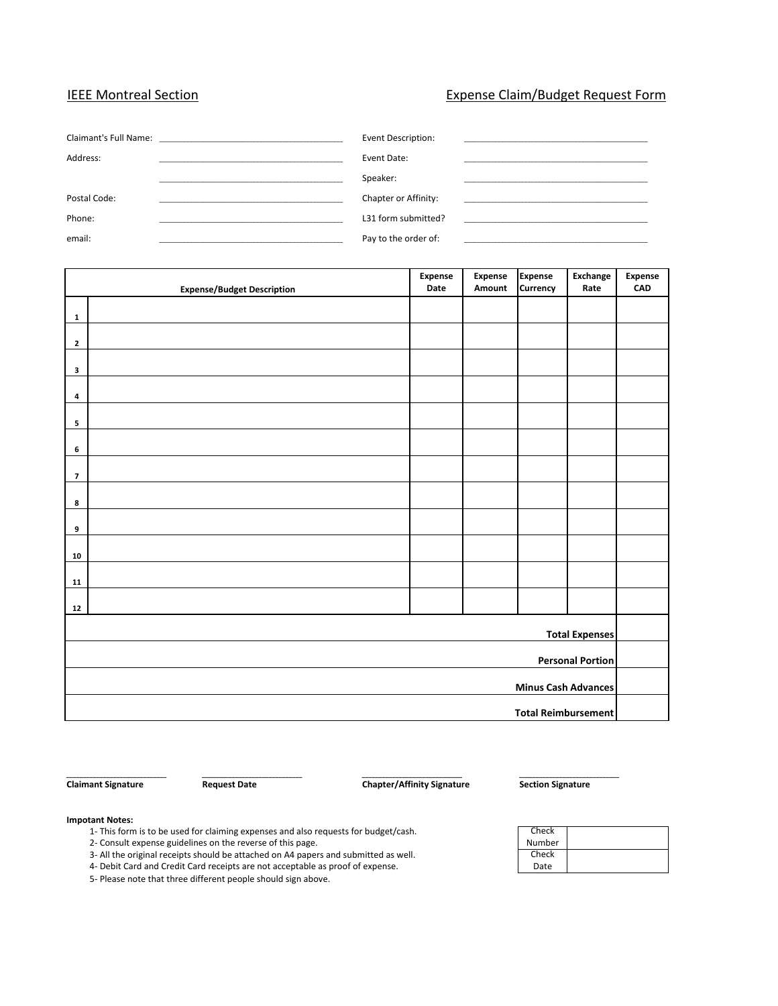#### IEEE Montreal Section **Expense Claim/Budget Request Form**

|              | Event Description:   |  |
|--------------|----------------------|--|
| Address:     | Event Date:          |  |
|              | Speaker:             |  |
| Postal Code: | Chapter or Affinity: |  |
| Phone:       | L31 form submitted?  |  |
| email:       | Pay to the order of: |  |

|                            | <b>Expense/Budget Description</b> | Expense<br>Date | <b>Expense</b><br>Amount | <b>Expense</b><br>Currency | Exchange<br>Rate | Expense<br>CAD |
|----------------------------|-----------------------------------|-----------------|--------------------------|----------------------------|------------------|----------------|
|                            |                                   |                 |                          |                            |                  |                |
| $\mathbf{1}$               |                                   |                 |                          |                            |                  |                |
| $\mathbf{2}$               |                                   |                 |                          |                            |                  |                |
| 3                          |                                   |                 |                          |                            |                  |                |
|                            |                                   |                 |                          |                            |                  |                |
| 4                          |                                   |                 |                          |                            |                  |                |
| 5                          |                                   |                 |                          |                            |                  |                |
| 6                          |                                   |                 |                          |                            |                  |                |
|                            |                                   |                 |                          |                            |                  |                |
| $\overline{\mathbf{z}}$    |                                   |                 |                          |                            |                  |                |
| 8                          |                                   |                 |                          |                            |                  |                |
| 9                          |                                   |                 |                          |                            |                  |                |
| 10                         |                                   |                 |                          |                            |                  |                |
|                            |                                   |                 |                          |                            |                  |                |
| 11                         |                                   |                 |                          |                            |                  |                |
| 12                         |                                   |                 |                          |                            |                  |                |
| <b>Total Expenses</b>      |                                   |                 |                          |                            |                  |                |
|                            |                                   |                 |                          |                            |                  |                |
| <b>Personal Portion</b>    |                                   |                 |                          |                            |                  |                |
| <b>Minus Cash Advances</b> |                                   |                 |                          |                            |                  |                |
| <b>Total Reimbursement</b> |                                   |                 |                          |                            |                  |                |

**\_\_\_\_\_\_\_\_\_\_\_\_\_\_\_\_\_\_\_\_\_\_\_\_\_\_\_\_\_\_ \_\_\_\_\_\_\_\_\_\_\_\_\_\_\_\_\_\_\_\_\_\_\_\_\_\_\_\_\_\_ \_\_\_\_\_\_\_\_\_\_\_\_\_\_\_\_\_\_\_\_\_\_\_\_\_\_\_\_\_\_ \_\_\_\_\_\_\_\_\_\_\_\_\_\_\_\_\_\_\_\_\_\_\_\_\_\_\_\_\_\_ Claimant Signature The Request Date Chapter/Affinity Signature Section Signature** 

#### **Impotant Notes:**

- 1‐ This form is to be used for claiming expenses and also requests for budget/cash.
- 2‐ Consult expense guidelines on the reverse of this page.
- 3‐ All the original receipts should be attached on A4 papers and submitted as well.
- 4‐ Debit Card and Credit Card receipts are not acceptable as proof of expense.
- 5‐ Please note that three different people should sign above.

| Check  |  |
|--------|--|
| Number |  |
| Check  |  |
|        |  |